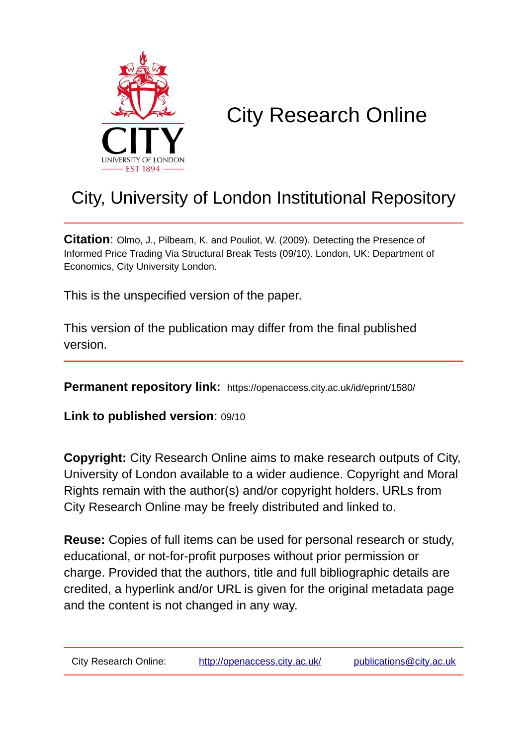

# City Research Online

## City, University of London Institutional Repository

**Citation**: Olmo, J., Pilbeam, K. and Pouliot, W. (2009). Detecting the Presence of Informed Price Trading Via Structural Break Tests (09/10). London, UK: Department of Economics, City University London.

This is the unspecified version of the paper.

This version of the publication may differ from the final published version.

**Permanent repository link:** https://openaccess.city.ac.uk/id/eprint/1580/

**Link to published version**: 09/10

**Copyright:** City Research Online aims to make research outputs of City, University of London available to a wider audience. Copyright and Moral Rights remain with the author(s) and/or copyright holders. URLs from City Research Online may be freely distributed and linked to.

**Reuse:** Copies of full items can be used for personal research or study, educational, or not-for-profit purposes without prior permission or charge. Provided that the authors, title and full bibliographic details are credited, a hyperlink and/or URL is given for the original metadata page and the content is not changed in any way.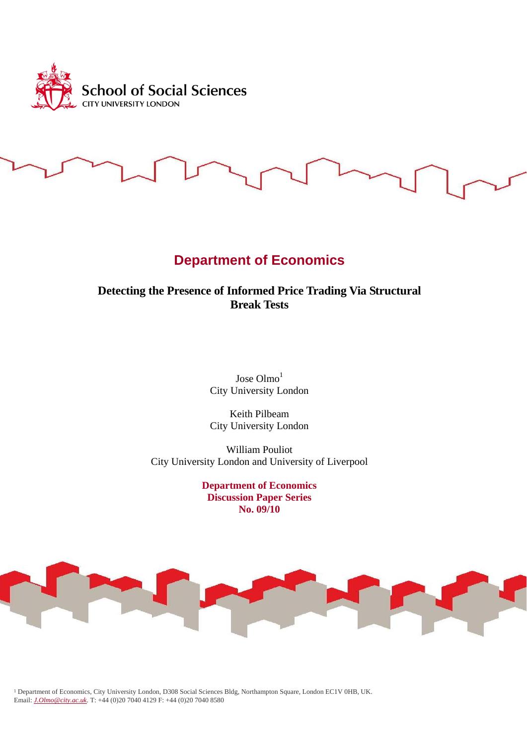

# **Department of Economics**

## **Detecting the Presence of Informed Price Trading Via Structural Break Tests**

Jose Olmo<sup>1</sup> City University London

Keith Pilbeam City University London

William Pouliot City University London and University of Liverpool

> **Department of Economics Discussion Paper Series No. 09/10**



<sup>1</sup> Department of Economics, City University London, D308 Social Sciences Bldg, Northampton Square, London EC1V 0HB, UK. Email: *J.Olmo@city.ac.uk*. T: +44 (0)20 7040 4129 F: +44 (0)20 7040 8580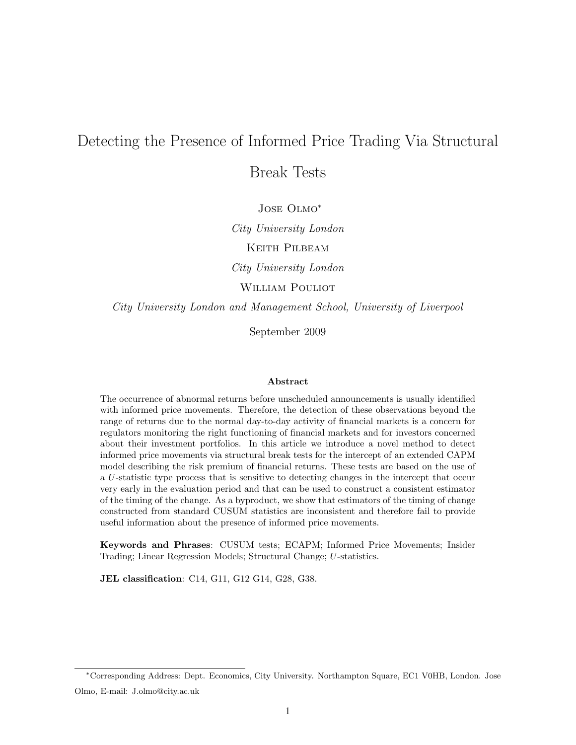## Detecting the Presence of Informed Price Trading Via Structural

Break Tests

Jose Olmo<sup>∗</sup>

City University London

Keith Pilbeam

City University London

WILLIAM POULIOT

City University London and Management School, University of Liverpool

September 2009

#### Abstract

The occurrence of abnormal returns before unscheduled announcements is usually identified with informed price movements. Therefore, the detection of these observations beyond the range of returns due to the normal day-to-day activity of financial markets is a concern for regulators monitoring the right functioning of financial markets and for investors concerned about their investment portfolios. In this article we introduce a novel method to detect informed price movements via structural break tests for the intercept of an extended CAPM model describing the risk premium of financial returns. These tests are based on the use of a U-statistic type process that is sensitive to detecting changes in the intercept that occur very early in the evaluation period and that can be used to construct a consistent estimator of the timing of the change. As a byproduct, we show that estimators of the timing of change constructed from standard CUSUM statistics are inconsistent and therefore fail to provide useful information about the presence of informed price movements.

Keywords and Phrases: CUSUM tests; ECAPM; Informed Price Movements; Insider Trading; Linear Regression Models; Structural Change; U-statistics.

JEL classification: C14, G11, G12 G14, G28, G38.

<sup>∗</sup>Corresponding Address: Dept. Economics, City University. Northampton Square, EC1 V0HB, London. Jose Olmo, E-mail: J.olmo@city.ac.uk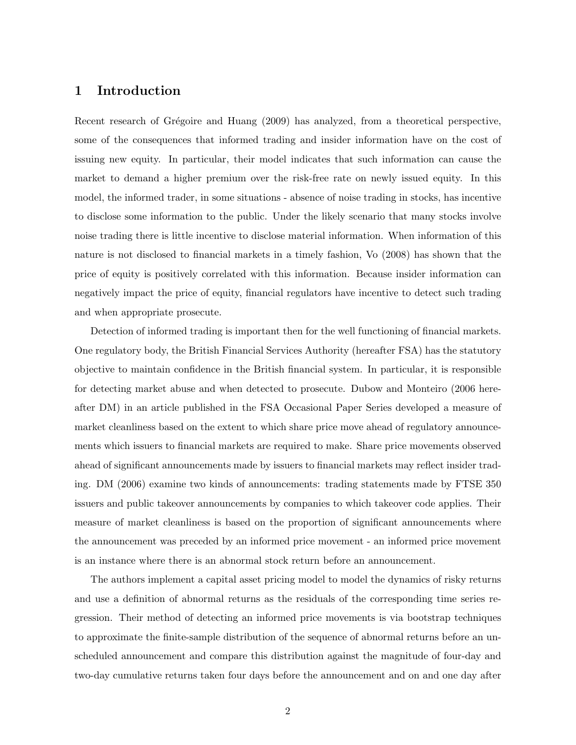### 1 Introduction

Recent research of Grégoire and Huang (2009) has analyzed, from a theoretical perspective, some of the consequences that informed trading and insider information have on the cost of issuing new equity. In particular, their model indicates that such information can cause the market to demand a higher premium over the risk-free rate on newly issued equity. In this model, the informed trader, in some situations - absence of noise trading in stocks, has incentive to disclose some information to the public. Under the likely scenario that many stocks involve noise trading there is little incentive to disclose material information. When information of this nature is not disclosed to financial markets in a timely fashion, Vo (2008) has shown that the price of equity is positively correlated with this information. Because insider information can negatively impact the price of equity, financial regulators have incentive to detect such trading and when appropriate prosecute.

Detection of informed trading is important then for the well functioning of financial markets. One regulatory body, the British Financial Services Authority (hereafter FSA) has the statutory objective to maintain confidence in the British financial system. In particular, it is responsible for detecting market abuse and when detected to prosecute. Dubow and Monteiro (2006 hereafter DM) in an article published in the FSA Occasional Paper Series developed a measure of market cleanliness based on the extent to which share price move ahead of regulatory announcements which issuers to financial markets are required to make. Share price movements observed ahead of significant announcements made by issuers to financial markets may reflect insider trading. DM (2006) examine two kinds of announcements: trading statements made by FTSE 350 issuers and public takeover announcements by companies to which takeover code applies. Their measure of market cleanliness is based on the proportion of significant announcements where the announcement was preceded by an informed price movement - an informed price movement is an instance where there is an abnormal stock return before an announcement.

The authors implement a capital asset pricing model to model the dynamics of risky returns and use a definition of abnormal returns as the residuals of the corresponding time series regression. Their method of detecting an informed price movements is via bootstrap techniques to approximate the finite-sample distribution of the sequence of abnormal returns before an unscheduled announcement and compare this distribution against the magnitude of four-day and two-day cumulative returns taken four days before the announcement and on and one day after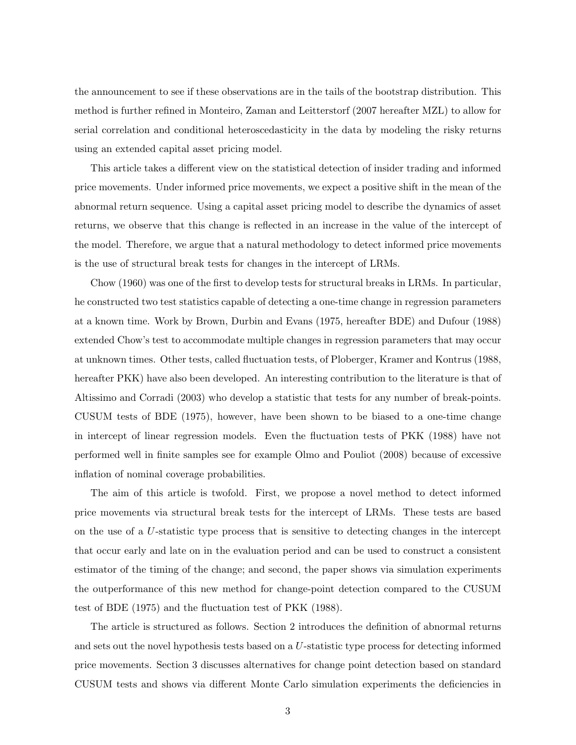the announcement to see if these observations are in the tails of the bootstrap distribution. This method is further refined in Monteiro, Zaman and Leitterstorf (2007 hereafter MZL) to allow for serial correlation and conditional heteroscedasticity in the data by modeling the risky returns using an extended capital asset pricing model.

This article takes a different view on the statistical detection of insider trading and informed price movements. Under informed price movements, we expect a positive shift in the mean of the abnormal return sequence. Using a capital asset pricing model to describe the dynamics of asset returns, we observe that this change is reflected in an increase in the value of the intercept of the model. Therefore, we argue that a natural methodology to detect informed price movements is the use of structural break tests for changes in the intercept of LRMs.

Chow (1960) was one of the first to develop tests for structural breaks in LRMs. In particular, he constructed two test statistics capable of detecting a one-time change in regression parameters at a known time. Work by Brown, Durbin and Evans (1975, hereafter BDE) and Dufour (1988) extended Chow's test to accommodate multiple changes in regression parameters that may occur at unknown times. Other tests, called fluctuation tests, of Ploberger, Kramer and Kontrus (1988, hereafter PKK) have also been developed. An interesting contribution to the literature is that of Altissimo and Corradi (2003) who develop a statistic that tests for any number of break-points. CUSUM tests of BDE (1975), however, have been shown to be biased to a one-time change in intercept of linear regression models. Even the fluctuation tests of PKK (1988) have not performed well in finite samples see for example Olmo and Pouliot (2008) because of excessive inflation of nominal coverage probabilities.

The aim of this article is twofold. First, we propose a novel method to detect informed price movements via structural break tests for the intercept of LRMs. These tests are based on the use of a U-statistic type process that is sensitive to detecting changes in the intercept that occur early and late on in the evaluation period and can be used to construct a consistent estimator of the timing of the change; and second, the paper shows via simulation experiments the outperformance of this new method for change-point detection compared to the CUSUM test of BDE (1975) and the fluctuation test of PKK (1988).

The article is structured as follows. Section 2 introduces the definition of abnormal returns and sets out the novel hypothesis tests based on a U-statistic type process for detecting informed price movements. Section 3 discusses alternatives for change point detection based on standard CUSUM tests and shows via different Monte Carlo simulation experiments the deficiencies in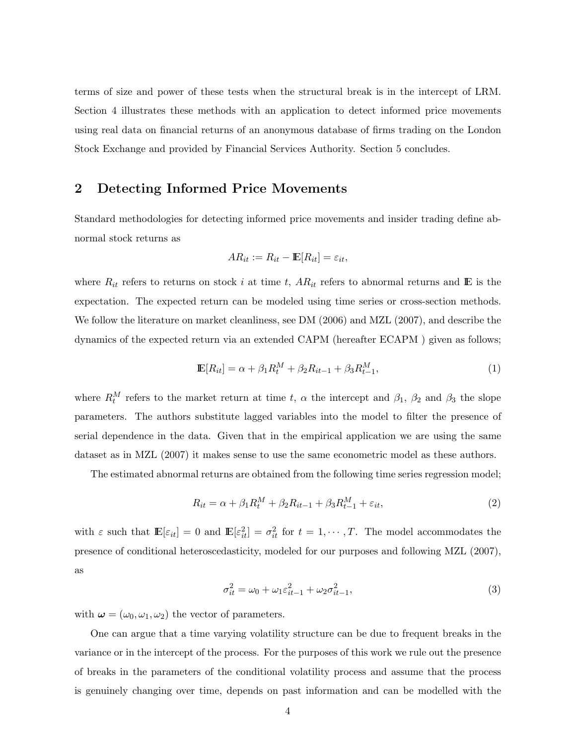terms of size and power of these tests when the structural break is in the intercept of LRM. Section 4 illustrates these methods with an application to detect informed price movements using real data on financial returns of an anonymous database of firms trading on the London Stock Exchange and provided by Financial Services Authority. Section 5 concludes.

## 2 Detecting Informed Price Movements

Standard methodologies for detecting informed price movements and insider trading define abnormal stock returns as

$$
AR_{it} := R_{it} - \mathbb{E}[R_{it}] = \varepsilon_{it},
$$

where  $R_{it}$  refers to returns on stock i at time t,  $AR_{it}$  refers to abnormal returns and E is the expectation. The expected return can be modeled using time series or cross-section methods. We follow the literature on market cleanliness, see DM  $(2006)$  and MZL  $(2007)$ , and describe the dynamics of the expected return via an extended CAPM (hereafter ECAPM ) given as follows;

$$
\mathbb{E}[R_{it}] = \alpha + \beta_1 R_t^M + \beta_2 R_{it-1} + \beta_3 R_{t-1}^M,
$$
\n(1)

where  $R_t^M$  refers to the market return at time t,  $\alpha$  the intercept and  $\beta_1$ ,  $\beta_2$  and  $\beta_3$  the slope parameters. The authors substitute lagged variables into the model to filter the presence of serial dependence in the data. Given that in the empirical application we are using the same dataset as in MZL (2007) it makes sense to use the same econometric model as these authors.

The estimated abnormal returns are obtained from the following time series regression model;

$$
R_{it} = \alpha + \beta_1 R_t^M + \beta_2 R_{it-1} + \beta_3 R_{t-1}^M + \varepsilon_{it},
$$
\n(2)

with  $\varepsilon$  such that  $\mathbb{E}[\varepsilon_{it}] = 0$  and  $\mathbb{E}[\varepsilon_{it}^2] = \sigma_{it}^2$  for  $t = 1, \dots, T$ . The model accommodates the presence of conditional heteroscedasticity, modeled for our purposes and following MZL (2007), as

$$
\sigma_{it}^2 = \omega_0 + \omega_1 \varepsilon_{it-1}^2 + \omega_2 \sigma_{it-1}^2,\tag{3}
$$

with  $\boldsymbol{\omega} = (\omega_0, \omega_1, \omega_2)$  the vector of parameters.

One can argue that a time varying volatility structure can be due to frequent breaks in the variance or in the intercept of the process. For the purposes of this work we rule out the presence of breaks in the parameters of the conditional volatility process and assume that the process is genuinely changing over time, depends on past information and can be modelled with the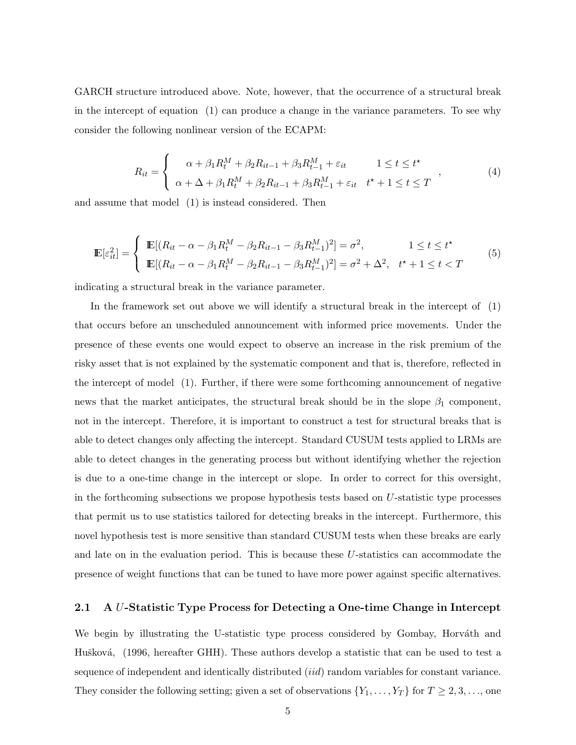GARCH structure introduced above. Note, however, that the occurrence of a structural break in the intercept of equation (1) can produce a change in the variance parameters. To see why consider the following nonlinear version of the ECAPM:

$$
R_{it} = \begin{cases} \alpha + \beta_1 R_t^M + \beta_2 R_{it-1} + \beta_3 R_{t-1}^M + \varepsilon_{it} & 1 \le t \le t^* \\ \alpha + \Delta + \beta_1 R_t^M + \beta_2 R_{it-1} + \beta_3 R_{t-1}^M + \varepsilon_{it} & t^* + 1 \le t \le T \end{cases},
$$
(4)

and assume that model (1) is instead considered. Then

$$
\mathbb{E}[\varepsilon_{it}^2] = \begin{cases} \mathbb{E}[(R_{it} - \alpha - \beta_1 R_t^M - \beta_2 R_{it-1} - \beta_3 R_{t-1}^M)^2] = \sigma^2, & 1 \le t \le t^*\\ \mathbb{E}[(R_{it} - \alpha - \beta_1 R_t^M - \beta_2 R_{it-1} - \beta_3 R_{t-1}^M)^2] = \sigma^2 + \Delta^2, & t^* + 1 \le t < T \end{cases}
$$
(5)

indicating a structural break in the variance parameter.

In the framework set out above we will identify a structural break in the intercept of (1) that occurs before an unscheduled announcement with informed price movements. Under the presence of these events one would expect to observe an increase in the risk premium of the risky asset that is not explained by the systematic component and that is, therefore, reflected in the intercept of model (1). Further, if there were some forthcoming announcement of negative news that the market anticipates, the structural break should be in the slope  $\beta_1$  component, not in the intercept. Therefore, it is important to construct a test for structural breaks that is able to detect changes only affecting the intercept. Standard CUSUM tests applied to LRMs are able to detect changes in the generating process but without identifying whether the rejection is due to a one-time change in the intercept or slope. In order to correct for this oversight, in the forthcoming subsections we propose hypothesis tests based on U-statistic type processes that permit us to use statistics tailored for detecting breaks in the intercept. Furthermore, this novel hypothesis test is more sensitive than standard CUSUM tests when these breaks are early and late on in the evaluation period. This is because these U-statistics can accommodate the presence of weight functions that can be tuned to have more power against specific alternatives.

#### 2.1 A U-Statistic Type Process for Detecting a One-time Change in Intercept

We begin by illustrating the U-statistic type process considered by Gombay, Horváth and Hušková, (1996, hereafter GHH). These authors develop a statistic that can be used to test a sequence of independent and identically distributed *(iid)* random variables for constant variance. They consider the following setting; given a set of observations  $\{Y_1, \ldots, Y_T\}$  for  $T \geq 2, 3, \ldots$ , one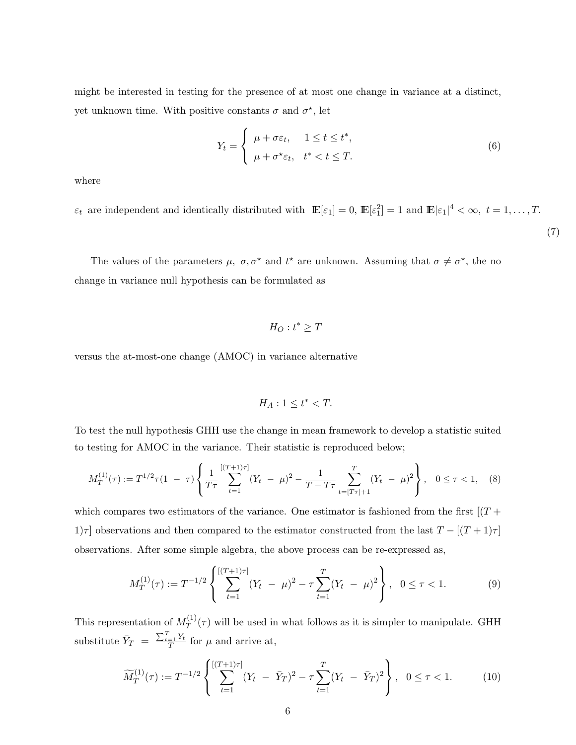might be interested in testing for the presence of at most one change in variance at a distinct, yet unknown time. With positive constants  $\sigma$  and  $\sigma^*$ , let

$$
Y_t = \begin{cases} \mu + \sigma \varepsilon_t, & 1 \le t \le t^*, \\ \mu + \sigma^* \varepsilon_t, & t^* < t \le T. \end{cases}
$$
 (6)

where

 $\varepsilon_t$  are independent and identically distributed with  $\mathbb{E}[\varepsilon_1] = 0$ ,  $\mathbb{E}[\varepsilon_1^2] = 1$  and  $\mathbb{E}|\varepsilon_1|^4 < \infty$ ,  $t = 1, \ldots, T$ . (7)

The values of the parameters  $\mu$ ,  $\sigma$ ,  $\sigma^*$  and  $t^*$  are unknown. Assuming that  $\sigma \neq \sigma^*$ , the no change in variance null hypothesis can be formulated as

$$
H_O: t^* \geq T
$$

versus the at-most-one change (AMOC) in variance alternative

$$
H_A: 1 \le t^* < T.
$$

To test the null hypothesis GHH use the change in mean framework to develop a statistic suited to testing for AMOC in the variance. Their statistic is reproduced below;

$$
M_T^{(1)}(\tau) := T^{1/2}\tau(1-\tau)\left\{\frac{1}{T\tau}\sum_{t=1}^{[(T+1)\tau]}(Y_t-\mu)^2 - \frac{1}{T-T\tau}\sum_{t=[T\tau]+1}^T(Y_t-\mu)^2\right\}, \quad 0 \le \tau < 1, \quad (8)
$$

which compares two estimators of the variance. One estimator is fashioned from the first  $[(T +$ 1) $\tau$ ] observations and then compared to the estimator constructed from the last  $T - [(T + 1)\tau]$ observations. After some simple algebra, the above process can be re-expressed as,

$$
M_T^{(1)}(\tau) := T^{-1/2} \left\{ \sum_{t=1}^{[(T+1)\tau]} (Y_t - \mu)^2 - \tau \sum_{t=1}^T (Y_t - \mu)^2 \right\}, \quad 0 \le \tau < 1. \tag{9}
$$

This representation of  $M_T^{(1)}$  $T^{(1)}(\tau)$  will be used in what follows as it is simpler to manipulate. GHH substitute  $\bar{Y}_T =$  $\frac{\sum_{t=1}^{T} Y_t}{T}$  for  $\mu$  and arrive at,

$$
\widetilde{M}_T^{(1)}(\tau) := T^{-1/2} \left\{ \sum_{t=1}^{[(T+1)\tau]} (Y_t - \bar{Y}_T)^2 - \tau \sum_{t=1}^T (Y_t - \bar{Y}_T)^2 \right\}, \quad 0 \le \tau < 1. \tag{10}
$$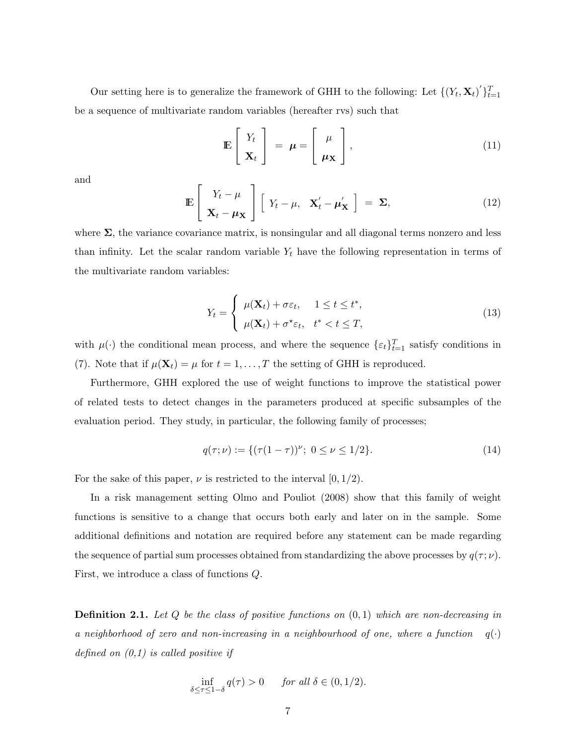Our setting here is to generalize the framework of GHH to the following: Let  $\{(Y_t, \mathbf{X}_t)' \}_{t=1}^T$ be a sequence of multivariate random variables (hereafter rvs) such that

$$
\mathbb{E}\left[\begin{array}{c} Y_t \\ \mathbf{X}_t \end{array}\right] = \boldsymbol{\mu} = \left[\begin{array}{c} \boldsymbol{\mu} \\ \boldsymbol{\mu}_\mathbf{X} \end{array}\right],\tag{11}
$$

and

$$
\mathbb{E}\left[\begin{array}{c} Y_t - \mu \\ \mathbf{X}_t - \mu \mathbf{X} \end{array}\right] \left[\begin{array}{cc} Y_t - \mu, & \mathbf{X}'_t - \mu' \mathbf{X} \end{array}\right] = \Sigma, \tag{12}
$$

where  $\Sigma$ , the variance covariance matrix, is nonsingular and all diagonal terms nonzero and less than infinity. Let the scalar random variable  $Y_t$  have the following representation in terms of the multivariate random variables:

$$
Y_t = \begin{cases} \mu(\mathbf{X}_t) + \sigma \varepsilon_t, & 1 \le t \le t^*, \\ \mu(\mathbf{X}_t) + \sigma^* \varepsilon_t, & t^* < t \le T, \end{cases}
$$
 (13)

with  $\mu(\cdot)$  the conditional mean process, and where the sequence  $\{\varepsilon_t\}_{t=1}^T$  satisfy conditions in (7). Note that if  $\mu(\mathbf{X}_t) = \mu$  for  $t = 1, ..., T$  the setting of GHH is reproduced.

Furthermore, GHH explored the use of weight functions to improve the statistical power of related tests to detect changes in the parameters produced at specific subsamples of the evaluation period. They study, in particular, the following family of processes;

$$
q(\tau;\nu) := \{ (\tau(1-\tau))^{\nu}; \ 0 \le \nu \le 1/2 \}. \tag{14}
$$

For the sake of this paper,  $\nu$  is restricted to the interval  $(0, 1/2)$ .

In a risk management setting Olmo and Pouliot (2008) show that this family of weight functions is sensitive to a change that occurs both early and later on in the sample. Some additional definitions and notation are required before any statement can be made regarding the sequence of partial sum processes obtained from standardizing the above processes by  $q(\tau;\nu)$ . First, we introduce a class of functions Q.

**Definition 2.1.** Let  $Q$  be the class of positive functions on  $(0, 1)$  which are non-decreasing in a neighborhood of zero and non-increasing in a neighbourhood of one, where a function  $q(\cdot)$ defined on  $(0,1)$  is called positive if

$$
\inf_{\delta \le \tau \le 1-\delta} q(\tau) > 0 \quad \text{for all } \delta \in (0, 1/2).
$$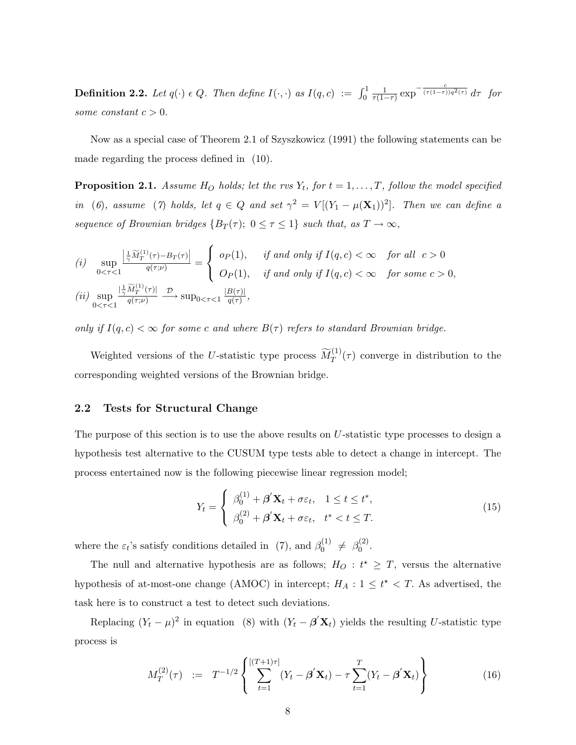**Definition 2.2.** Let  $q(\cdot) \in Q$ . Then define  $I(\cdot, \cdot)$  as  $I(q, c) := \int_0^1$ 1  $\frac{1}{\tau(1-\tau)} \exp^{-\frac{c}{(\tau(1-\tau))q^2(\tau)}} d\tau$  for some constant  $c > 0$ .

Now as a special case of Theorem 2.1 of Szyszkowicz (1991) the following statements can be made regarding the process defined in (10).

**Proposition 2.1.** Assume  $H_O$  holds; let the rvs  $Y_t$ , for  $t = 1, \ldots, T$ , follow the model specified in (6), assume (7) holds, let  $q \in Q$  and set  $\gamma^2 = V[(Y_1 - \mu(\mathbf{X}_1))^2]$ . Then we can define a sequence of Brownian bridges  $\{B_T(\tau); 0 \leq \tau \leq 1\}$  such that, as  $T \to \infty$ ,

(i) 
$$
\sup_{0 < \tau < 1} \frac{\left|\frac{1}{\gamma} \widetilde{M}_T^{(1)}(\tau) - B_T(\tau)\right|}{q(\tau;\nu)} = \begin{cases} op(1), & \text{if and only if } I(q,c) < \infty \quad \text{for all } c > 0 \\ Op(1), & \text{if and only if } I(q,c) < \infty \quad \text{for some } c > 0, \end{cases}
$$
\n(ii) 
$$
\sup_{0 < \tau < 1} \frac{\left|\frac{1}{\gamma} \widetilde{M}_T^{(1)}(\tau)\right|}{q(\tau;\nu)} \xrightarrow{\mathcal{D}} \sup_{0 < \tau < 1} \frac{|B(\tau)|}{q(\tau)},
$$

only if  $I(q, c) < \infty$  for some c and where  $B(\tau)$  refers to standard Brownian bridge.

Weighted versions of the U-statistic type process  $\widetilde{M}_T^{(1)}(\tau)$  converge in distribution to the corresponding weighted versions of the Brownian bridge.

#### 2.2 Tests for Structural Change

The purpose of this section is to use the above results on U-statistic type processes to design a hypothesis test alternative to the CUSUM type tests able to detect a change in intercept. The process entertained now is the following piecewise linear regression model;

$$
Y_t = \begin{cases} \beta_0^{(1)} + \boldsymbol{\beta}' \mathbf{X}_t + \sigma \varepsilon_t, & 1 \le t \le t^*, \\ \beta_0^{(2)} + \boldsymbol{\beta}' \mathbf{X}_t + \sigma \varepsilon_t, & t^* < t \le T. \end{cases} \tag{15}
$$

where the  $\varepsilon_t$ 's satisfy conditions detailed in (7), and  $\beta_0^{(1)}$  $\beta_0^{(1)} \neq \beta_0^{(2)}$  $\binom{2}{0}$ .

The null and alternative hypothesis are as follows;  $H_O: t^* \geq T$ , versus the alternative hypothesis of at-most-one change (AMOC) in intercept;  $H_A: 1 \leq t^* < T$ . As advertised, the task here is to construct a test to detect such deviations.

Replacing  $(Y_t - \mu)^2$  in equation (8) with  $(Y_t - \beta' \mathbf{X}_t)$  yields the resulting U-statistic type process is

$$
M_T^{(2)}(\tau) := T^{-1/2} \left\{ \sum_{t=1}^{[(T+1)\tau]} (Y_t - \beta' \mathbf{X}_t) - \tau \sum_{t=1}^T (Y_t - \beta' \mathbf{X}_t) \right\}
$$
(16)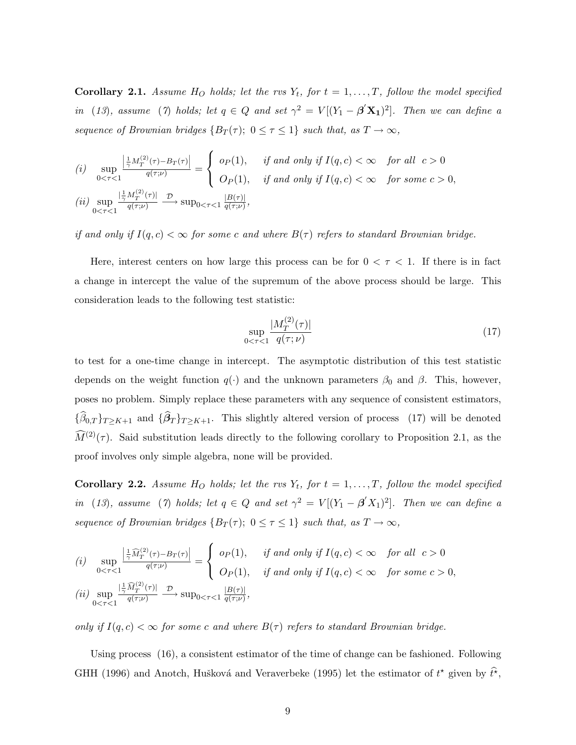**Corollary 2.1.** Assume  $H_O$  holds; let the rvs  $Y_t$ , for  $t = 1, \ldots, T$ , follow the model specified in (13), assume (7) holds; let  $q \in Q$  and set  $\gamma^2 = V[(Y_1 - \beta' \mathbf{X_1})^2]$ . Then we can define a sequence of Brownian bridges  $\{B_T(\tau); 0 \leq \tau \leq 1\}$  such that, as  $T \to \infty$ ,

(i) 
$$
\sup_{0 < \tau < 1} \frac{\left|\frac{1}{\gamma} M_T^{(2)}(\tau) - B_T(\tau)\right|}{q(\tau;\nu)} = \begin{cases} op(1), & \text{if and only if } I(q,c) < \infty \quad \text{for all } c > 0 \\ Op(1), & \text{if and only if } I(q,c) < \infty \quad \text{for some } c > 0, \end{cases}
$$
\n(ii) 
$$
\sup_{0 < \tau < 1} \frac{\left|\frac{1}{\gamma} M_T^{(2)}(\tau)\right|}{q(\tau;\nu)} \xrightarrow{\mathcal{D}} \sup_{0 < \tau < 1} \frac{|B(\tau)|}{q(\tau;\nu)},
$$

if and only if  $I(q, c) < \infty$  for some c and where  $B(\tau)$  refers to standard Brownian bridge.

Here, interest centers on how large this process can be for  $0 < \tau < 1$ . If there is in fact a change in intercept the value of the supremum of the above process should be large. This consideration leads to the following test statistic:

$$
\sup_{0 < \tau < 1} \frac{|M_T^{(2)}(\tau)|}{q(\tau; \nu)}\tag{17}
$$

to test for a one-time change in intercept. The asymptotic distribution of this test statistic depends on the weight function  $q(\cdot)$  and the unknown parameters  $\beta_0$  and  $\beta$ . This, however, poses no problem. Simply replace these parameters with any sequence of consistent estimators,  $\{\widehat{\beta}_{0,T}\}_{T\geq K+1}$  and  $\{\widehat{\beta}_T\}_{T\geq K+1}$ . This slightly altered version of process (17) will be denoted  $\widehat{M}^{(2)}(\tau)$ . Said substitution leads directly to the following corollary to Proposition 2.1, as the proof involves only simple algebra, none will be provided.

**Corollary 2.2.** Assume  $H_O$  holds; let the rvs  $Y_t$ , for  $t = 1, ..., T$ , follow the model specified in (13), assume (7) holds; let  $q \in Q$  and set  $\gamma^2 = V[(Y_1 - \beta' X_1)^2]$ . Then we can define a sequence of Brownian bridges  $\{B_T(\tau); 0 \leq \tau \leq 1\}$  such that, as  $T \to \infty$ ,

(i) 
$$
\sup_{0 < \tau < 1} \frac{\left|\frac{1}{\gamma} \widehat{M}_T^{(2)}(\tau) - B_T(\tau)\right|}{q(\tau;\nu)} = \begin{cases} op(1), & \text{if and only if } I(q,c) < \infty \quad \text{for all } c > 0 \\ Op(1), & \text{if and only if } I(q,c) < \infty \quad \text{for some } c > 0, \end{cases}
$$
\n(ii) 
$$
\sup_{0 < \tau < 1} \frac{\left|\frac{1}{\gamma} \widehat{M}_T^{(2)}(\tau)\right|}{q(\tau;\nu)} \xrightarrow{\mathcal{D}} \sup_{0 < \tau < 1} \frac{|B(\tau)|}{q(\tau;\nu)},
$$

only if  $I(q, c) < \infty$  for some c and where  $B(\tau)$  refers to standard Brownian bridge.

Using process (16), a consistent estimator of the time of change can be fashioned. Following GHH (1996) and Anotch, Hušková and Veraverbeke (1995) let the estimator of  $t^*$  given by  $\hat{t}$ <sup>\*</sup>,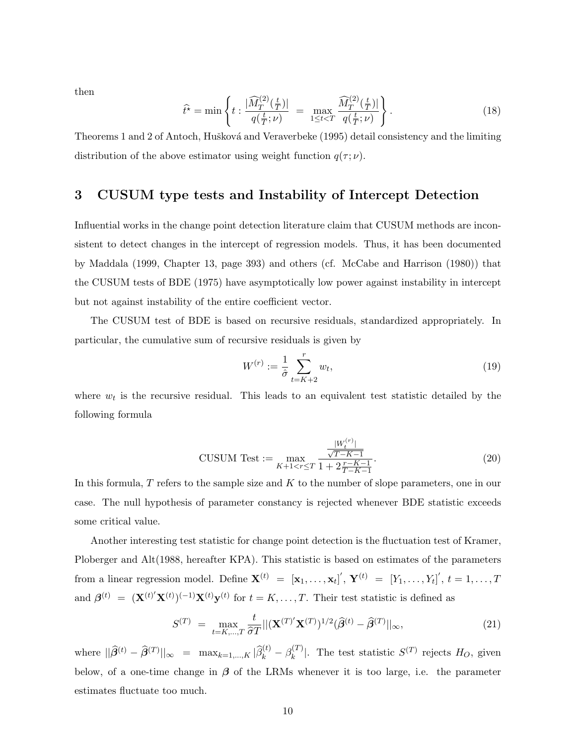then

$$
\hat{t}^* = \min \left\{ t : \frac{|\widehat{M}_T^{(2)}(\frac{t}{T})|}{q(\frac{t}{T}; \nu)} = \max_{1 \le t < T} \frac{\widehat{M}_T^{(2)}(\frac{t}{T})|}{q(\frac{t}{T}; \nu)} \right\}.
$$
\n(18)

Theorems 1 and 2 of Antoch, Hušková and Veraverbeke (1995) detail consistency and the limiting distribution of the above estimator using weight function  $q(\tau;\nu)$ .

## 3 CUSUM type tests and Instability of Intercept Detection

Influential works in the change point detection literature claim that CUSUM methods are inconsistent to detect changes in the intercept of regression models. Thus, it has been documented by Maddala (1999, Chapter 13, page 393) and others (cf. McCabe and Harrison (1980)) that the CUSUM tests of BDE (1975) have asymptotically low power against instability in intercept but not against instability of the entire coefficient vector.

The CUSUM test of BDE is based on recursive residuals, standardized appropriately. In particular, the cumulative sum of recursive residuals is given by

$$
W^{(r)} := \frac{1}{\hat{\sigma}} \sum_{t=K+2}^{r} w_t,
$$
\n(19)

where  $w_t$  is the recursive residual. This leads to an equivalent test statistic detailed by the following formula

$$
\text{CUSUM Test} := \max_{K+1 < r \le T} \frac{\frac{|W_t^{(r)}|}{\sqrt{T-K-1}}}{1 + 2\frac{r-K-1}{T-K-1}}.\tag{20}
$$

In this formula,  $T$  refers to the sample size and  $K$  to the number of slope parameters, one in our case. The null hypothesis of parameter constancy is rejected whenever BDE statistic exceeds some critical value.

Another interesting test statistic for change point detection is the fluctuation test of Kramer, Ploberger and Alt(1988, hereafter KPA). This statistic is based on estimates of the parameters from a linear regression model. Define  $\mathbf{X}^{(t)} = [\mathbf{x}_1, \ldots, \mathbf{x}_t]^{'}, \mathbf{Y}^{(t)} = [Y_1, \ldots, Y_t]^{'}, t = 1, \ldots, T$ and  $\boldsymbol{\beta}^{(t)} = (\mathbf{X}^{(t)'}\mathbf{X}^{(t)})^{(-1)}\mathbf{X}^{(t)}\mathbf{y}^{(t)}$  for  $t = K, \ldots, T$ . Their test statistic is defined as

$$
S^{(T)} = \max_{t=K,\dots,T} \frac{t}{\hat{\sigma}T} ||(\mathbf{X}^{(T)'}\mathbf{X}^{(T)})^{1/2} (\hat{\beta}^{(t)} - \hat{\beta}^{(T)}||_{\infty},
$$
\n(21)

where  $||\widehat{\beta}^{(t)} - \widehat{\beta}^{(T)}||_{\infty} = \max_{k=1,\dots,K} |\widehat{\beta}_k^{(t)} - \beta_k^{(T)}|$  $\binom{[T]}{k}$ . The test statistic  $S^{(T)}$  rejects  $H_O$ , given below, of a one-time change in  $\beta$  of the LRMs whenever it is too large, i.e. the parameter estimates fluctuate too much.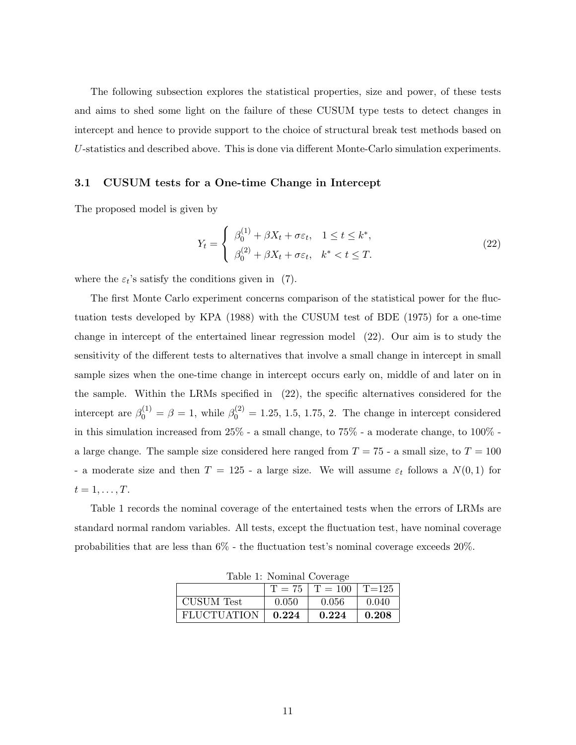The following subsection explores the statistical properties, size and power, of these tests and aims to shed some light on the failure of these CUSUM type tests to detect changes in intercept and hence to provide support to the choice of structural break test methods based on U-statistics and described above. This is done via different Monte-Carlo simulation experiments.

#### 3.1 CUSUM tests for a One-time Change in Intercept

The proposed model is given by

$$
Y_t = \begin{cases} \beta_0^{(1)} + \beta X_t + \sigma \varepsilon_t, & 1 \le t \le k^*, \\ \beta_0^{(2)} + \beta X_t + \sigma \varepsilon_t, & k^* < t \le T. \end{cases}
$$
 (22)

where the  $\varepsilon_t$ 's satisfy the conditions given in (7).

The first Monte Carlo experiment concerns comparison of the statistical power for the fluctuation tests developed by KPA (1988) with the CUSUM test of BDE (1975) for a one-time change in intercept of the entertained linear regression model (22). Our aim is to study the sensitivity of the different tests to alternatives that involve a small change in intercept in small sample sizes when the one-time change in intercept occurs early on, middle of and later on in the sample. Within the LRMs specified in (22), the specific alternatives considered for the intercept are  $\beta_0^{(1)} = \beta = 1$ , while  $\beta_0^{(2)} = 1.25, 1.5, 1.75, 2$ . The change in intercept considered in this simulation increased from 25% - a small change, to 75% - a moderate change, to 100% a large change. The sample size considered here ranged from  $T = 75$  - a small size, to  $T = 100$ - a moderate size and then  $T = 125$  - a large size. We will assume  $\varepsilon_t$  follows a  $N(0, 1)$  for  $t=1,\ldots,T$ .

Table 1 records the nominal coverage of the entertained tests when the errors of LRMs are standard normal random variables. All tests, except the fluctuation test, have nominal coverage probabilities that are less than 6% - the fluctuation test's nominal coverage exceeds 20%.

| rapie r. rominal Coverage |       |                                  |       |  |  |  |  |  |  |
|---------------------------|-------|----------------------------------|-------|--|--|--|--|--|--|
|                           |       | $T = 75$   $T = 100$   $T = 125$ |       |  |  |  |  |  |  |
| <b>CUSUM</b> Test         | 0.050 | -0.056                           | 0.040 |  |  |  |  |  |  |
| <b>FLUCTUATION</b>        | 0.224 | 0.224                            | 0.208 |  |  |  |  |  |  |

Table 1: Nominal Coverage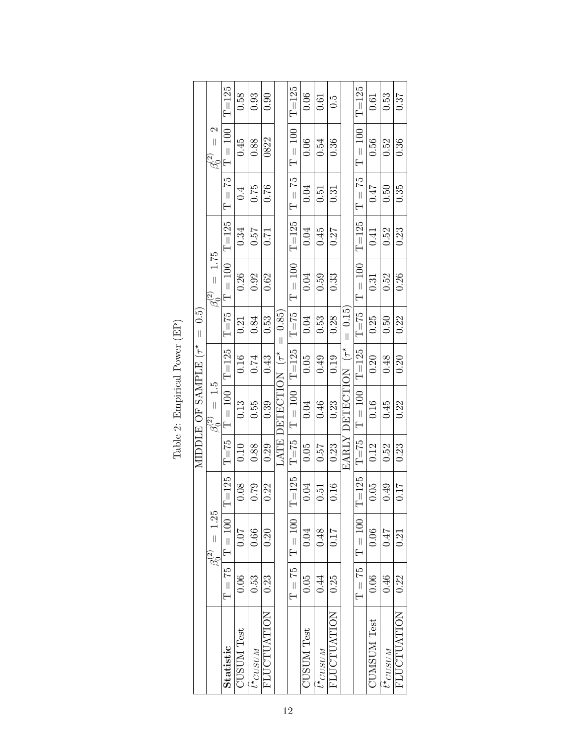|                                   |                                            | $T = 125$                 | 0.58              | 0.93                | 0.90        |                    | $T = 125$             | 0.06              | 0.61              | $\ddot{c}$         |                     | $T = 125$   | 0.61               | 0.53                | 0.37               |
|-----------------------------------|--------------------------------------------|---------------------------|-------------------|---------------------|-------------|--------------------|-----------------------|-------------------|-------------------|--------------------|---------------------|-------------|--------------------|---------------------|--------------------|
|                                   | $=$ $\frac{2}{3}$<br>$\beta_{\rm o}^{(2)}$ | $T = 100$                 | 0.45              | 0.88                | 0822        |                    | $T = 100$             | 0.06              | 0.54              | 0.36               |                     | $T = 100$   | 0.56               | 0.52                | 0.36               |
|                                   |                                            | $T = 75$                  | 0.4               | 0.75                | 0.76        |                    | $T = 75$              | 0.04              | 0.51              | 0.31               |                     | $T = 75$    | 0.47               | 0.50                | 0.35               |
|                                   |                                            | $T = 125$                 | 0.34              | 75.0                | 0.71        |                    | $T = 125$             | 0.04              | 0.45              | 0.27               |                     | $T = 125$   | 0.41               | 0.52                | 0.23               |
|                                   | $= 1.75$<br>$\beta_{\mathsf{c}}^{(2)}$     | $T = 100$                 | 0.26              | 0.92                | 0.62        |                    | $\rm T=100$           | 0.04              | 0.59              | 0.33               |                     | $T = 100$   | 0.31               | 0.52                | 0.26               |
| MIDDLE OF SAMPLE $(\tau^* = 0.5)$ |                                            | $T\!=\!75$                | 0.21              | 0.84                | 0.53        | $= 0.85$           | $T = 75$              | 0.04              | 0.53              | 0.28               | $= 0.15$            | $T = 75$    | 0.25               | 0.50                | 0.22               |
|                                   |                                            |                           | 0.16              | 0.74                | 0.43        |                    |                       | 0.05              | 0.49              | 0.19               |                     | $T = 125$   | 0.20               | 0.48                | 0.20               |
|                                   | $= 1.5$<br>$\frac{\partial}{\partial c}$   | $T = 100$   $T = 125$     | 0.13              | 0.55                | 0.39        | LATE DETECTION (T* | $T = 100$   $T = 125$ | 0.04              | 0.46              | 0.23               | EARLY DETECTION (T* | $\rm T=100$ | 0.16               | 0.45                | 0.22               |
|                                   |                                            | $T = 75$                  | 0.10              | 0.88                | 0.29        |                    | $T = 75$              | 0.05              | 0.57              | 0.23               |                     | $T = 75$    | 0.12               | 0.52                | 0.23               |
|                                   | $\beta_0^{(2)} = 1.25$                     | $T = 125$                 | 0.08              | 0.79                | 0.22        |                    | $T = 125$             | 0.04              | 0.51              | 0.16               |                     | $T = 125$   | 0.05               | 0.49                | 0.17               |
|                                   |                                            | $\rm T = 75 \mid T = 100$ | 0.07              | 0.66                | 0.20        |                    | $\rm T=100$           | 0.04              | 0.48              | 0.17               |                     | $T = 100$   | 0.06               | 0.47                | 0.21               |
|                                   |                                            | 0.06<br>0.23<br>0.53      | $T = 75$          | 0.05                | 0.44        | 0.25               |                       | $T = 75$          | 0.06              | 0.46               | 0.22                |             |                    |                     |                    |
|                                   |                                            | Statistic                 | <b>CUSUM Test</b> | $t^{\star}_{CUSUM}$ | FLUCTUATION |                    |                       | <b>CUSUM Test</b> | $t^\star_{CUSUM}$ | <b>FLUCTUATION</b> |                     |             | <b>CUMSUM Test</b> | $t^{\star}_{CUSUM}$ | <b>FLUCTUATION</b> |

Table 2: Empirical Power (EP) Table 2: Empirical Power (EP)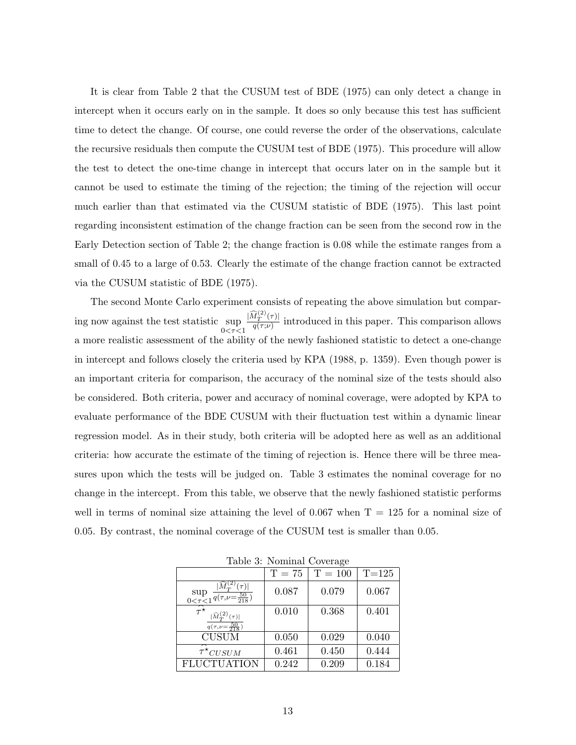It is clear from Table 2 that the CUSUM test of BDE (1975) can only detect a change in intercept when it occurs early on in the sample. It does so only because this test has sufficient time to detect the change. Of course, one could reverse the order of the observations, calculate the recursive residuals then compute the CUSUM test of BDE (1975). This procedure will allow the test to detect the one-time change in intercept that occurs later on in the sample but it cannot be used to estimate the timing of the rejection; the timing of the rejection will occur much earlier than that estimated via the CUSUM statistic of BDE (1975). This last point regarding inconsistent estimation of the change fraction can be seen from the second row in the Early Detection section of Table 2; the change fraction is 0.08 while the estimate ranges from a small of 0.45 to a large of 0.53. Clearly the estimate of the change fraction cannot be extracted via the CUSUM statistic of BDE (1975).

The second Monte Carlo experiment consists of repeating the above simulation but comparing now against the test statistic sup  $0 < \tau < 1$  $|\widehat M^{(2)}_T(\tau)|$  $\frac{d_{T}(\tau)}{q(\tau;\nu)}$  introduced in this paper. This comparison allows a more realistic assessment of the ability of the newly fashioned statistic to detect a one-change in intercept and follows closely the criteria used by KPA (1988, p. 1359). Even though power is an important criteria for comparison, the accuracy of the nominal size of the tests should also be considered. Both criteria, power and accuracy of nominal coverage, were adopted by KPA to evaluate performance of the BDE CUSUM with their fluctuation test within a dynamic linear regression model. As in their study, both criteria will be adopted here as well as an additional criteria: how accurate the estimate of the timing of rejection is. Hence there will be three measures upon which the tests will be judged on. Table 3 estimates the nominal coverage for no change in the intercept. From this table, we observe that the newly fashioned statistic performs well in terms of nominal size attaining the level of  $0.067$  when  $T = 125$  for a nominal size of 0.05. By contrast, the nominal coverage of the CUSUM test is smaller than 0.05.

| raono oi riominiai coverage                                                                                                |          |               |           |  |  |  |  |  |  |  |
|----------------------------------------------------------------------------------------------------------------------------|----------|---------------|-----------|--|--|--|--|--|--|--|
|                                                                                                                            | $T = 75$ | $\rm T$ = 100 | $T = 125$ |  |  |  |  |  |  |  |
| $\sup_{0\leq\tau\leq1}\frac{ M^{(2)}_T(\tau) }{q(\tau,\nu=\frac{50}{218})}$                                                | 0.087    | 0.079         | 0.067     |  |  |  |  |  |  |  |
| $\widehat{\tau^{\star}}$<br>$\frac{ \widehat{M}^{(2)}_T(\tau) }{q(\tau,\nu\hspace{-0.2mm}-\hspace{-0.2mm}\frac{50}{218})}$ | 0.010    | 0.368         | 0.401     |  |  |  |  |  |  |  |
| <b>CUSUM</b>                                                                                                               | 0.050    | 0.029         | 0.040     |  |  |  |  |  |  |  |
| $\widehat{\tau}^{\star}$ CUSUM                                                                                             | 0.461    | 0.450         | 0.444     |  |  |  |  |  |  |  |
| <b>FLUCTUATION</b>                                                                                                         | 0.242    | 0.209         | 0.184     |  |  |  |  |  |  |  |

Table 3: Nominal Coverage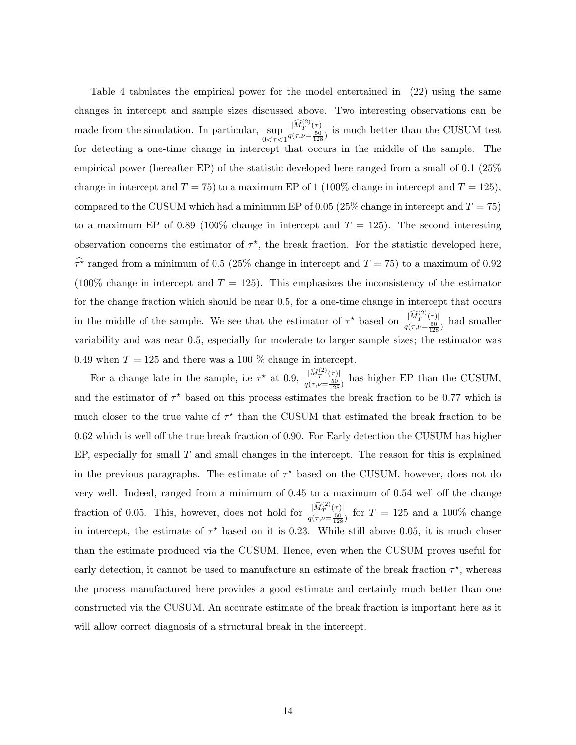Table 4 tabulates the empirical power for the model entertained in (22) using the same changes in intercept and sample sizes discussed above. Two interesting observations can be made from the simulation. In particular, sup  $0 < \tau < 1$  $|\widehat M^{(2)}_T(\tau)|$  $\frac{|M_T|}{q(\tau,\nu=\frac{50}{128})}$  is much better than the CUSUM test for detecting a one-time change in intercept that occurs in the middle of the sample. The empirical power (hereafter EP) of the statistic developed here ranged from a small of 0.1 (25% change in intercept and  $T = 75$ ) to a maximum EP of 1 (100% change in intercept and  $T = 125$ ), compared to the CUSUM which had a minimum EP of 0.05 (25% change in intercept and  $T = 75$ ) to a maximum EP of 0.89 (100% change in intercept and  $T = 125$ ). The second interesting observation concerns the estimator of  $\tau^*$ , the break fraction. For the statistic developed here,  $\hat{\tau}$ <sup>\*</sup> ranged from a minimum of 0.5 (25% change in intercept and  $T = 75$ ) to a maximum of 0.92 (100% change in intercept and  $T = 125$ ). This emphasizes the inconsistency of the estimator for the change fraction which should be near 0.5, for a one-time change in intercept that occurs in the middle of the sample. We see that the estimator of  $\tau^*$  based on  $\frac{|\widehat{M}_T^{(2)}(\tau)|}{\tau^*}$  $\frac{|M_T|}{q(\tau,\nu=\frac{50}{128})}$  had smaller variability and was near 0.5, especially for moderate to larger sample sizes; the estimator was 0.49 when  $T = 125$  and there was a 100 % change in intercept.

For a change late in the sample, i.e  $\tau^*$  at 0.9,  $\frac{|\widehat{M}_T^{(2)}(\tau)|}{\tau^2}$  $\frac{|M_T(\tau)|}{q(\tau,\nu=\frac{50}{128})}$  has higher EP than the CUSUM, and the estimator of  $\tau^*$  based on this process estimates the break fraction to be 0.77 which is much closer to the true value of  $\tau^*$  than the CUSUM that estimated the break fraction to be 0.62 which is well off the true break fraction of 0.90. For Early detection the CUSUM has higher EP, especially for small  $T$  and small changes in the intercept. The reason for this is explained in the previous paragraphs. The estimate of  $\tau^*$  based on the CUSUM, however, does not do very well. Indeed, ranged from a minimum of 0.45 to a maximum of 0.54 well off the change fraction of 0.05. This, however, does not hold for  $\frac{|\widehat{M}_T^{(2)}(\tau)|}{\tau(r_1,\dots,50)}$  $\frac{|M_T^{\perp} \cdot (\tau)|}{q(\tau,\nu=\frac{50}{128})}$  for  $T = 125$  and a 100% change in intercept, the estimate of  $\tau^*$  based on it is 0.23. While still above 0.05, it is much closer than the estimate produced via the CUSUM. Hence, even when the CUSUM proves useful for early detection, it cannot be used to manufacture an estimate of the break fraction  $\tau^*$ , whereas the process manufactured here provides a good estimate and certainly much better than one constructed via the CUSUM. An accurate estimate of the break fraction is important here as it will allow correct diagnosis of a structural break in the intercept.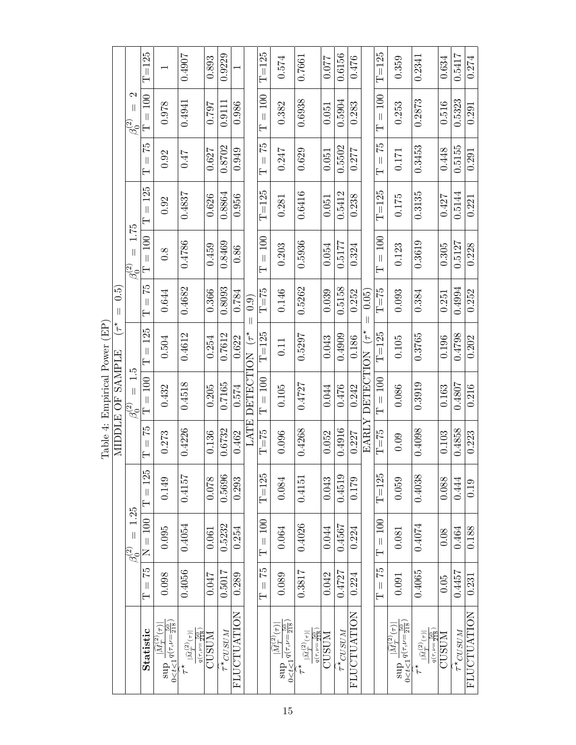|                              |                                                                      | $T = 125$                          |                                                                                                                                       | 0.4907                                                                                  | 0.893  | 0.9229                 |                    |                     | $T = 125$                                                   | 0.574                                                                                       | 0.7661                                                          | 0.077        | 0.6156                 | 0.476              |                           | $T = 125$                                          | 0.359                                                                                           | 0.2341                                                                                  | 0.634 | 0.5417                 | 0.274              |
|------------------------------|----------------------------------------------------------------------|------------------------------------|---------------------------------------------------------------------------------------------------------------------------------------|-----------------------------------------------------------------------------------------|--------|------------------------|--------------------|---------------------|-------------------------------------------------------------|---------------------------------------------------------------------------------------------|-----------------------------------------------------------------|--------------|------------------------|--------------------|---------------------------|----------------------------------------------------|-------------------------------------------------------------------------------------------------|-----------------------------------------------------------------------------------------|-------|------------------------|--------------------|
|                              | $\mathcal{C}$<br>$\mathbf{  }$<br>$\frac{\partial}{\partial \sigma}$ | 100<br>$\overline{\mathbf{I}}$     | 0.978                                                                                                                                 | 0.4941                                                                                  | 162.0  | 0.9111                 | 0.986              |                     | 100<br>$\left  \right $<br>⊢                                | 0.382                                                                                       | 0.6938                                                          | 0.051        | 0.5904                 | 0.283              |                           | $= 100$<br>$\overline{\mathsf{H}}$                 | 0.253                                                                                           | 0.2873                                                                                  | 0.516 | 0.5323                 | 0.291              |
|                              |                                                                      | 52<br>$\overline{\mathbf{I}}$<br>Ε | 0.92                                                                                                                                  | LF 0                                                                                    | 0.627  | 0.8702                 | 0.949              |                     | $\frac{5}{2}$<br>$\vert\vert$<br>Ē                          | 0.247                                                                                       | 0.629                                                           | 0.051        | 0.5502                 | 0.277              |                           | 52<br>$\left  \right $<br>$\overline{\phantom{0}}$ | 0.171                                                                                           | 0.3453                                                                                  | 0.448 | 0.5155                 | 0.291              |
|                              |                                                                      | $= 125$<br>$\vdash$                | 0.92                                                                                                                                  | 0.4837                                                                                  | 0.626  | 0.8864                 | 0.956              |                     | $T = 125$                                                   | 0.281                                                                                       | 0.6416                                                          | 0.051        | 0.5412                 | 0.238              |                           | $T = 125$                                          | $0.175\,$                                                                                       | 0.3135                                                                                  | 0.427 | 0.5144                 | 0.221              |
|                              | 1.75<br>$\parallel$<br>$\frac{\partial}{\partial \zeta}$             | $= 100$<br>$\vdash$                | 0.8                                                                                                                                   | 0.4786                                                                                  | 0.459  | 0.8469                 | 0.86               |                     | $= 100$<br>⊢                                                | 0.203                                                                                       | 0.5936                                                          | 0.054        | 0.5177                 | 0.324              |                           | $= 100$<br>$\overline{\phantom{0}}$                | 0.123                                                                                           | 0.3619                                                                                  | 0.305 | 0.5127                 | 0.228              |
| io<br>O<br>$\vert\vert$      |                                                                      | $52 =$<br>$\overline{\mathsf{H}}$  | 0.644                                                                                                                                 | 0.4682                                                                                  | 0.366  | 0.8093                 | 0.784              | $\left( 0.9\right)$ | $T\!\!=\!\!75$                                              | 0.146                                                                                       | 0.5262                                                          | 0.039        | 0.5158                 | 0.252              | (0.05)                    | $\rm T{=}75$                                       | 0.093                                                                                           | 0.384                                                                                   | 0.251 | 0.4994                 | 0.252              |
| $\biguparrow^*$<br>Ę         |                                                                      | 125<br>$\frac{1}{2}$<br>Ε          | 0.504                                                                                                                                 | 0.4612                                                                                  | 0.254  | 0.7612                 | 0.622              | $(\tau^{\star})$    | $T = 125$                                                   | 0.11                                                                                        | 0.5297                                                          | 0.043        | 0.4909                 | 0.186              | $\widetilde{\mathcal{F}}$ | $T = 125$                                          | $0.105\,$                                                                                       | 0.3765                                                                                  | 0.196 | 0.4798                 | 0.202              |
| LIII piirtugi 1 Owe          | $\frac{1}{5}$<br>$\overline{\mathbf{I}}$<br>$\beta_{c}^{(2)}$        | $= 100$<br>$\overline{\mathbf{r}}$ | 0.432                                                                                                                                 | 0.4518                                                                                  | 0.205  | 0.7165                 | 0.574              | DETECTION           | $= 100$<br>$\overline{\mathsf{H}}$                          | 0.105                                                                                       | 0.4727                                                          | 0.044        | 0.476                  | 0.242              | <b>DETECTION</b>          | $\rm T=100$                                        | 0.086                                                                                           | 0.3919                                                                                  | 0.163 | 0.4807                 | 0.216              |
| MIDDLE OF SAMPLE<br>laUIt 4. |                                                                      | 52<br>$\left\  {}\right\ $<br>Ε    | 0.273                                                                                                                                 | 0.4226                                                                                  | 0.136  | 0.6732                 | 0.462              | LATE                | $T = 75$                                                    | 0.096                                                                                       | 0.4268                                                          | 0.052        | 0.4916                 | 0.227              | EARLY                     | $T = 75$                                           | 0.09                                                                                            | 0.4098                                                                                  | 0.103 | 0.4858                 | 0.223              |
|                              |                                                                      | $=125$<br>$\vdash$                 | 0.149                                                                                                                                 | 0.4157                                                                                  | 0.078  | 0.5696                 | 0.293              |                     | $T = 125$                                                   | 0.084                                                                                       | 0.4151                                                          | 0.043        | 0.4519                 | 0.179              |                           | $T = 125$                                          | 0.059                                                                                           | 0.4038                                                                                  | 0.088 | 0.444                  | 0.19               |
|                              | 1.25<br>$\left  {}\right $<br>$\frac{\partial}{\partial \zeta}$      | $N = 100$                          | 0.095                                                                                                                                 | 0.4054                                                                                  | 0.061  | 0.5232                 | 0.254              |                     | $= 100$<br>$\overline{\mathsf{H}}$                          | 0.064                                                                                       | 0.4026                                                          | 0.044        | 0.4567                 | 0.224              |                           | $T = 100$                                          | 0.081                                                                                           | 0.4074                                                                                  | 0.08  | 0.464                  | 0.188              |
|                              |                                                                      | $T=75$                             | 0.098                                                                                                                                 | 0.4056                                                                                  | 740.01 | 0.5017                 | 0.289              |                     | 52<br>$\left\vert {}\right\vert$<br>$\overline{\mathsf{H}}$ | 0.089                                                                                       | 0.3817                                                          | 0.042        | 0.4727                 | 0.224              |                           | $T = 75$                                           | 0.091                                                                                           | 0.4065                                                                                  | 0.05  | 0.4457                 | 0.231              |
|                              |                                                                      | Statistic                          | $\frac{1}{10} \sum_{k=1}^{n} \frac{1}{2} \left( \frac{1}{2} \sqrt{1 - \frac{1}{218}} \right)$<br>$ \widehat{M}_T^{(2)}(\tau)$<br>sup- | $q(\tau,\nu = \frac{50}{218})$<br>$ \widehat{M}_T^{(2)}(\tau) $<br>$\stackrel{*}{\tau}$ | CUSUM  | $\tau^{\star}_{CUSUM}$ | <b>FLUCTUATION</b> |                     |                                                             | $0 < t < 1$ $q(\tau, \nu = \frac{50}{218})$<br>$ \widehat{M}_T^{(2)}(\tau) $<br>$g$ and $g$ | $q(\tau,\nu = \frac{50}{218})$<br>$ \widehat{M}_T^{(2)}(\tau) $ | <b>CUSUM</b> | $\tau^{\star}_{CUSUM}$ | <b>FLUCTUATION</b> |                           |                                                    | $\sup_{0 < t < 1} \frac{1 - t}{q(\tau, \nu = \frac{50}{218})}$<br>$ \widehat{M}_T^{(2)}(\tau) $ | $q(\tau,\nu = \frac{50}{218})$<br>$ \widehat{M}_T^{(2)}(\tau) $<br>$\stackrel{*}{\tau}$ | CUSUM | $\tau^{\star}_{CUSUM}$ | <b>FLUCTUATION</b> |

Table 4: Empirical Power (EP) Table 4: Empirical Power (EP)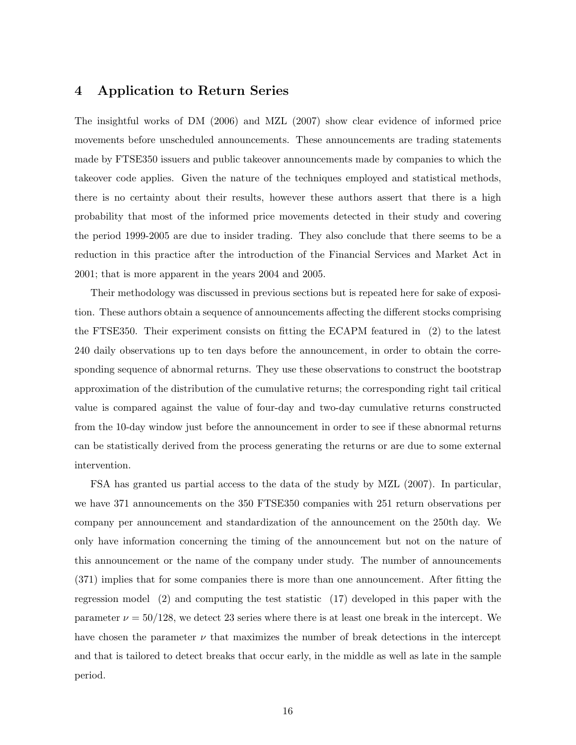### 4 Application to Return Series

The insightful works of DM (2006) and MZL (2007) show clear evidence of informed price movements before unscheduled announcements. These announcements are trading statements made by FTSE350 issuers and public takeover announcements made by companies to which the takeover code applies. Given the nature of the techniques employed and statistical methods, there is no certainty about their results, however these authors assert that there is a high probability that most of the informed price movements detected in their study and covering the period 1999-2005 are due to insider trading. They also conclude that there seems to be a reduction in this practice after the introduction of the Financial Services and Market Act in 2001; that is more apparent in the years 2004 and 2005.

Their methodology was discussed in previous sections but is repeated here for sake of exposition. These authors obtain a sequence of announcements affecting the different stocks comprising the FTSE350. Their experiment consists on fitting the ECAPM featured in (2) to the latest 240 daily observations up to ten days before the announcement, in order to obtain the corresponding sequence of abnormal returns. They use these observations to construct the bootstrap approximation of the distribution of the cumulative returns; the corresponding right tail critical value is compared against the value of four-day and two-day cumulative returns constructed from the 10-day window just before the announcement in order to see if these abnormal returns can be statistically derived from the process generating the returns or are due to some external intervention.

FSA has granted us partial access to the data of the study by MZL (2007). In particular, we have 371 announcements on the 350 FTSE350 companies with 251 return observations per company per announcement and standardization of the announcement on the 250th day. We only have information concerning the timing of the announcement but not on the nature of this announcement or the name of the company under study. The number of announcements (371) implies that for some companies there is more than one announcement. After fitting the regression model (2) and computing the test statistic (17) developed in this paper with the parameter  $\nu = 50/128$ , we detect 23 series where there is at least one break in the intercept. We have chosen the parameter  $\nu$  that maximizes the number of break detections in the intercept and that is tailored to detect breaks that occur early, in the middle as well as late in the sample period.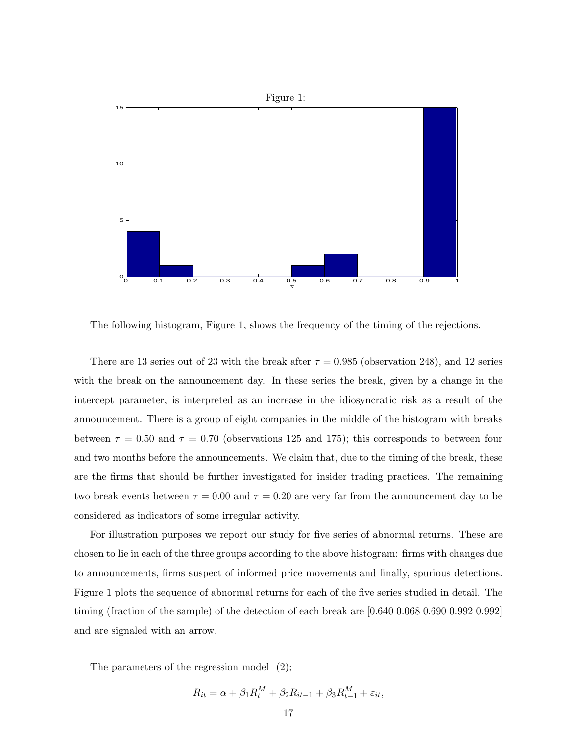

The following histogram, Figure 1, shows the frequency of the timing of the rejections.

There are 13 series out of 23 with the break after  $\tau = 0.985$  (observation 248), and 12 series with the break on the announcement day. In these series the break, given by a change in the intercept parameter, is interpreted as an increase in the idiosyncratic risk as a result of the announcement. There is a group of eight companies in the middle of the histogram with breaks between  $\tau = 0.50$  and  $\tau = 0.70$  (observations 125 and 175); this corresponds to between four and two months before the announcements. We claim that, due to the timing of the break, these are the firms that should be further investigated for insider trading practices. The remaining two break events between  $\tau = 0.00$  and  $\tau = 0.20$  are very far from the announcement day to be considered as indicators of some irregular activity.

For illustration purposes we report our study for five series of abnormal returns. These are chosen to lie in each of the three groups according to the above histogram: firms with changes due to announcements, firms suspect of informed price movements and finally, spurious detections. Figure 1 plots the sequence of abnormal returns for each of the five series studied in detail. The timing (fraction of the sample) of the detection of each break are  $[0.640, 0.068, 0.690, 0.992, 0.992]$ and are signaled with an arrow.

The parameters of the regression model (2);

$$
R_{it} = \alpha + \beta_1 R_t^M + \beta_2 R_{it-1} + \beta_3 R_{t-1}^M + \varepsilon_{it},
$$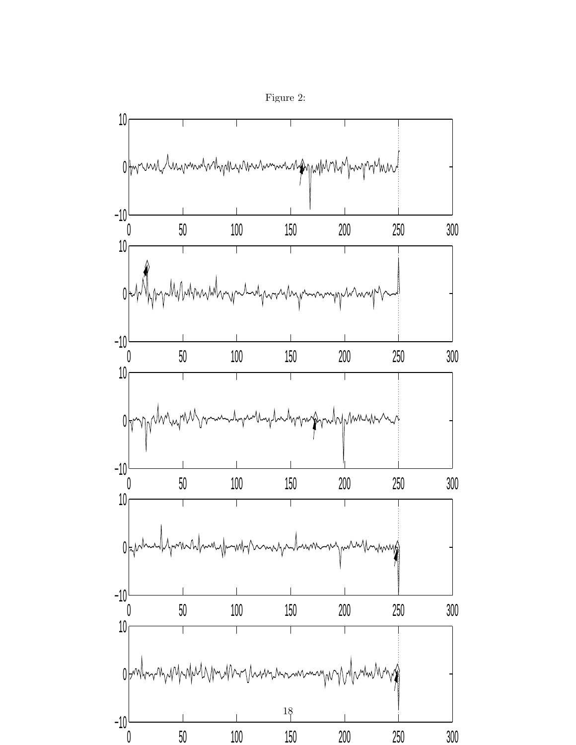

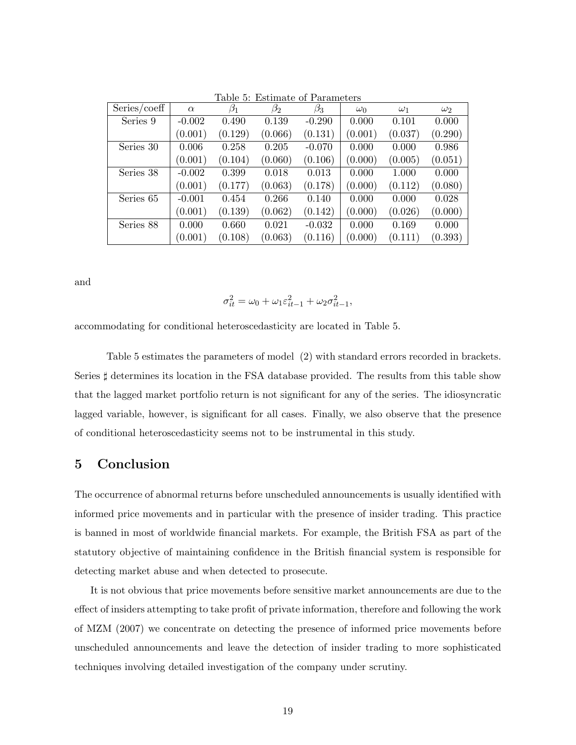|              |          | таріє д.  |           | Estimate of Farameters |            |            |            |
|--------------|----------|-----------|-----------|------------------------|------------|------------|------------|
| Series/coeff | $\alpha$ | $\beta_1$ | $\beta_2$ | $\beta_3$              | $\omega_0$ | $\omega_1$ | $\omega_2$ |
| Series 9     | $-0.002$ | 0.490     | 0.139     | $-0.290$               | 0.000      | 0.101      | 0.000      |
|              | (0.001)  | (0.129)   | (0.066)   | (0.131)                | (0.001)    | (0.037)    | (0.290)    |
| Series 30    | 0.006    | 0.258     | 0.205     | $-0.070$               | 0.000      | 0.000      | 0.986      |
|              | (0.001)  | (0.104)   | (0.060)   | (0.106)                | (0.000)    | (0.005)    | (0.051)    |
| Series 38    | $-0.002$ | 0.399     | 0.018     | 0.013                  | 0.000      | 1.000      | 0.000      |
|              | (0.001)  | (0.177)   | (0.063)   | (0.178)                | (0.000)    | (0.112)    | (0.080)    |
| Series 65    | $-0.001$ | 0.454     | 0.266     | 0.140                  | 0.000      | 0.000      | 0.028      |
|              | (0.001)  | (0.139)   | (0.062)   | (0.142)                | (0.000)    | (0.026)    | (0.000)    |
| Series 88    | 0.000    | 0.660     | 0.021     | $-0.032$               | 0.000      | 0.169      | 0.000      |
|              | (0.001)  | (0.108)   | (0.063)   | (0.116)                | (0.000)    | (0.111)    | (0.393)    |

Table 5: Estimate of Parameters

and

$$
\sigma_{it}^2 = \omega_0 + \omega_1 \varepsilon_{it-1}^2 + \omega_2 \sigma_{it-1}^2,
$$

accommodating for conditional heteroscedasticity are located in Table 5.

Table 5 estimates the parameters of model (2) with standard errors recorded in brackets. Series  $\sharp$  determines its location in the FSA database provided. The results from this table show that the lagged market portfolio return is not significant for any of the series. The idiosyncratic lagged variable, however, is significant for all cases. Finally, we also observe that the presence of conditional heteroscedasticity seems not to be instrumental in this study.

## 5 Conclusion

The occurrence of abnormal returns before unscheduled announcements is usually identified with informed price movements and in particular with the presence of insider trading. This practice is banned in most of worldwide financial markets. For example, the British FSA as part of the statutory objective of maintaining confidence in the British financial system is responsible for detecting market abuse and when detected to prosecute.

It is not obvious that price movements before sensitive market announcements are due to the effect of insiders attempting to take profit of private information, therefore and following the work of MZM (2007) we concentrate on detecting the presence of informed price movements before unscheduled announcements and leave the detection of insider trading to more sophisticated techniques involving detailed investigation of the company under scrutiny.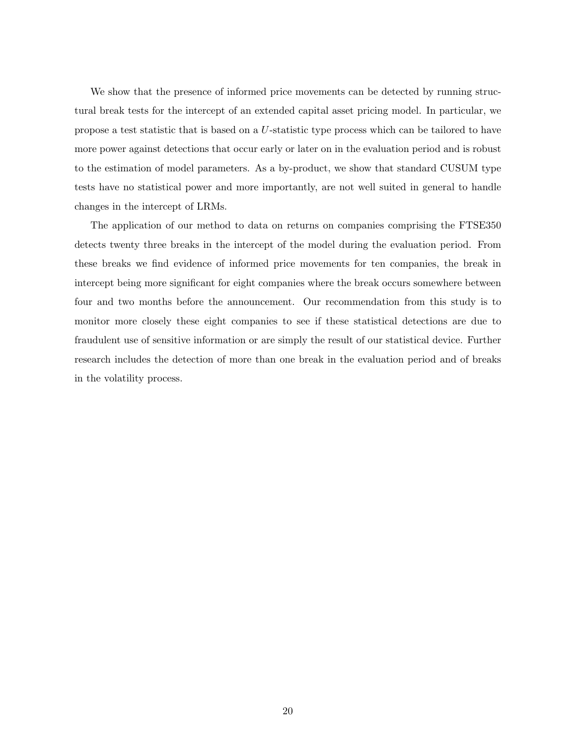We show that the presence of informed price movements can be detected by running structural break tests for the intercept of an extended capital asset pricing model. In particular, we propose a test statistic that is based on a U-statistic type process which can be tailored to have more power against detections that occur early or later on in the evaluation period and is robust to the estimation of model parameters. As a by-product, we show that standard CUSUM type tests have no statistical power and more importantly, are not well suited in general to handle changes in the intercept of LRMs.

The application of our method to data on returns on companies comprising the FTSE350 detects twenty three breaks in the intercept of the model during the evaluation period. From these breaks we find evidence of informed price movements for ten companies, the break in intercept being more significant for eight companies where the break occurs somewhere between four and two months before the announcement. Our recommendation from this study is to monitor more closely these eight companies to see if these statistical detections are due to fraudulent use of sensitive information or are simply the result of our statistical device. Further research includes the detection of more than one break in the evaluation period and of breaks in the volatility process.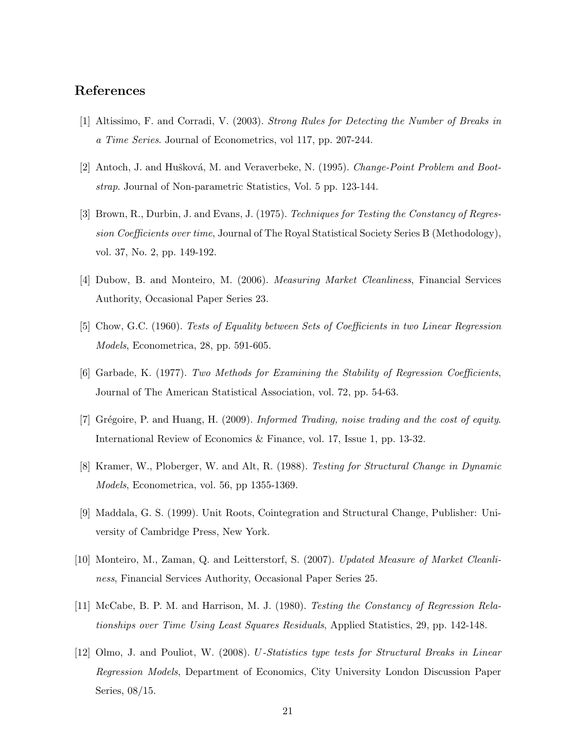## References

- [1] Altissimo, F. and Corradi, V. (2003). Strong Rules for Detecting the Number of Breaks in a Time Series. Journal of Econometrics, vol 117, pp. 207-244.
- [2] Antoch, J. and Hušková, M. and Veraverbeke, N. (1995). *Change-Point Problem and Boot*strap. Journal of Non-parametric Statistics, Vol. 5 pp. 123-144.
- [3] Brown, R., Durbin, J. and Evans, J. (1975). Techniques for Testing the Constancy of Regression Coefficients over time, Journal of The Royal Statistical Society Series B (Methodology), vol. 37, No. 2, pp. 149-192.
- [4] Dubow, B. and Monteiro, M. (2006). Measuring Market Cleanliness, Financial Services Authority, Occasional Paper Series 23.
- [5] Chow, G.C. (1960). Tests of Equality between Sets of Coefficients in two Linear Regression Models, Econometrica, 28, pp. 591-605.
- [6] Garbade, K. (1977). Two Methods for Examining the Stability of Regression Coefficients, Journal of The American Statistical Association, vol. 72, pp. 54-63.
- [7] Grégoire, P. and Huang, H. (2009). Informed Trading, noise trading and the cost of equity. International Review of Economics & Finance, vol. 17, Issue 1, pp. 13-32.
- [8] Kramer, W., Ploberger, W. and Alt, R. (1988). Testing for Structural Change in Dynamic Models, Econometrica, vol. 56, pp 1355-1369.
- [9] Maddala, G. S. (1999). Unit Roots, Cointegration and Structural Change, Publisher: University of Cambridge Press, New York.
- [10] Monteiro, M., Zaman, Q. and Leitterstorf, S. (2007). Updated Measure of Market Cleanliness, Financial Services Authority, Occasional Paper Series 25.
- [11] McCabe, B. P. M. and Harrison, M. J. (1980). Testing the Constancy of Regression Relationships over Time Using Least Squares Residuals, Applied Statistics, 29, pp. 142-148.
- [12] Olmo, J. and Pouliot, W. (2008). U-Statistics type tests for Structural Breaks in Linear Regression Models, Department of Economics, City University London Discussion Paper Series, 08/15.